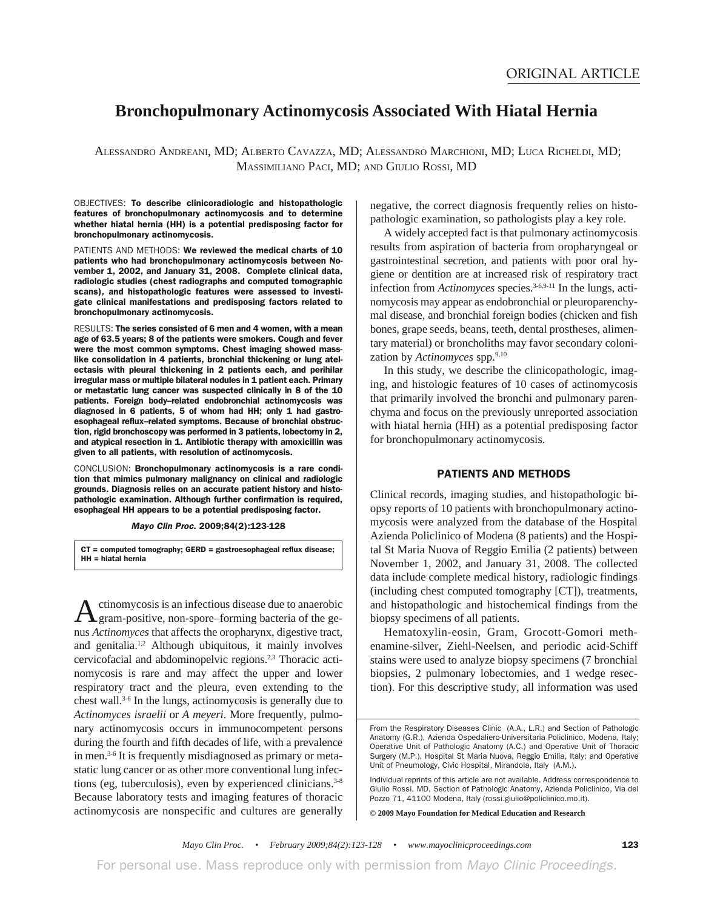# **Bronchopulmonary Actinomycosis Associated With Hiatal Hernia**

 ALESSANDRO ANDREANI, MD; ALBERTO CAVAZZA, MD; ALESSANDRO MARCHIONI, MD; LUCA RICHELDI, MD; MASSIMILIANO PACI, MD; AND GIULIO ROSSI, MD

OBJECTIVES: To describe clinicoradiologic and histopathologic features of bronchopulmonary actinomycosis and to determine whether hiatal hernia (HH) is a potential predisposing factor for bronchopulmonary actinomycosis.

PATIENTS AND METHODS: We reviewed the medical charts of 10 patients who had bronchopulmonary actinomycosis between November 1, 2002, and January 31, 2008. Complete clinical data, radiologic studies (chest radiographs and computed tomographic scans), and histopathologic features were assessed to investigate clinical manifestations and predisposing factors related to bronchopulmonary actinomycosis.

RESULTS: The series consisted of 6 men and 4 women, with a mean age of 63.5 years; 8 of the patients were smokers. Cough and fever were the most common symptoms. Chest imaging showed masslike consolidation in 4 patients, bronchial thickening or lung atelectasis with pleural thickening in 2 patients each, and perihilar irregular mass or multiple bilateral nodules in 1 patient each. Primary or metastatic lung cancer was suspected clinically in 8 of the 10 patients. Foreign body–related endobronchial actinomycosis was diagnosed in 6 patients, 5 of whom had HH; only 1 had gastroesophageal reflux–related symptoms. Because of bronchial obstruction, rigid bronchoscopy was performed in 3 patients, lobectomy in 2, and atypical resection in 1. Antibiotic therapy with amoxicillin was given to all patients, with resolution of actinomycosis.

CONCLUSION: Bronchopulmonary actinomycosis is a rare condition that mimics pulmonary malignancy on clinical and radiologic grounds. Diagnosis relies on an accurate patient history and histopathologic examination. Although further confirmation is required, esophageal HH appears to be a potential predisposing factor.

Mayo Clin Proc. 2009;84(2):123-128

CT = computed tomography; GERD = gastroesophageal reflux disease; HH = hiatal hernia

Actinomycosis is an infectious disease due to anaerobic gram-positive, non-spore–forming bacteria of the genus *Actinomyces* that affects the oropharynx, digestive tract, and genitalia.<sup>1,2</sup> Although ubiquitous, it mainly involves cervicofacial and abdominopelvic regions.2,3 Thoracic actinomycosis is rare and may affect the upper and lower respiratory tract and the pleura, even extending to the chest wall.3-6 In the lungs, actinomycosis is generally due to *Actinomyces israelii* or *A meyeri*. More frequently, pulmonary actinomycosis occurs in immunocompetent persons during the fourth and fifth decades of life, with a prevalence in men.3-6 It is frequently misdiagnosed as primary or metastatic lung cancer or as other more conventional lung infections (eg, tuberculosis), even by experienced clinicians. $3-8$ Because laboratory tests and imaging features of thoracic actinomycosis are nonspecific and cultures are generally

negative, the correct diagnosis frequently relies on histopathologic examination, so pathologists play a key role.

A widely accepted fact is that pulmonary actinomycosis results from aspiration of bacteria from oropharyngeal or gastrointestinal secretion, and patients with poor oral hygiene or dentition are at increased risk of respiratory tract infection from *Actinomyces* species.<sup>3-6,9-11</sup> In the lungs, actinomycosis may appear as endobronchial or pleuroparenchymal disease, and bronchial foreign bodies (chicken and fish bones, grape seeds, beans, teeth, dental prostheses, alimentary material) or broncholiths may favor secondary colonization by *Actinomyces* spp.<sup>9,10</sup>

In this study, we describe the clinicopathologic, imaging, and histologic features of 10 cases of actinomycosis that primarily involved the bronchi and pulmonary parenchyma and focus on the previously unreported association with hiatal hernia (HH) as a potential predisposing factor for bronchopulmonary actinomycosis.

## PATIENTS AND METHODS

Clinical records, imaging studies, and histopathologic biopsy reports of 10 patients with bronchopulmonary actinomycosis were analyzed from the database of the Hospital Azienda Policlinico of Modena (8 patients) and the Hospital St Maria Nuova of Reggio Emilia (2 patients) between November 1, 2002, and January 31, 2008. The collected data include complete medical history, radiologic findings (including chest computed tomography [CT]), treatments, and histopathologic and histochemical findings from the biopsy specimens of all patients.

Hematoxylin-eosin, Gram, Grocott-Gomori methenamine-silver, Ziehl-Neelsen, and periodic acid-Schiff stains were used to analyze biopsy specimens (7 bronchial biopsies, 2 pulmonary lobectomies, and 1 wedge resection). For this descriptive study, all information was used

**© 2009 Mayo Foundation for Medical Education and Research**

For personal use. Mass reproduce only with permission from *Mayo Clinic Proceedings.*

From the Respiratory Diseases Clinic (A.A., L.R.) and Section of Pathologic Anatomy (G.R.), Azienda Ospedaliero-Universitaria Policlinico, Modena, Italy; Operative Unit of Pathologic Anatomy (A.C.) and Operative Unit of Thoracic Surgery (M.P.), Hospital St Maria Nuova, Reggio Emilia, Italy; and Operative Unit of Pneumology, Civic Hospital, Mirandola, Italy (A.M.).

Individual reprints of this article are not available. Address correspondence to Giulio Rossi, MD, Section of Pathologic Anatomy, Azienda Policlinico, Via del Pozzo 71, 41100 Modena, Italy (rossi.giulio@policlinico.mo.it).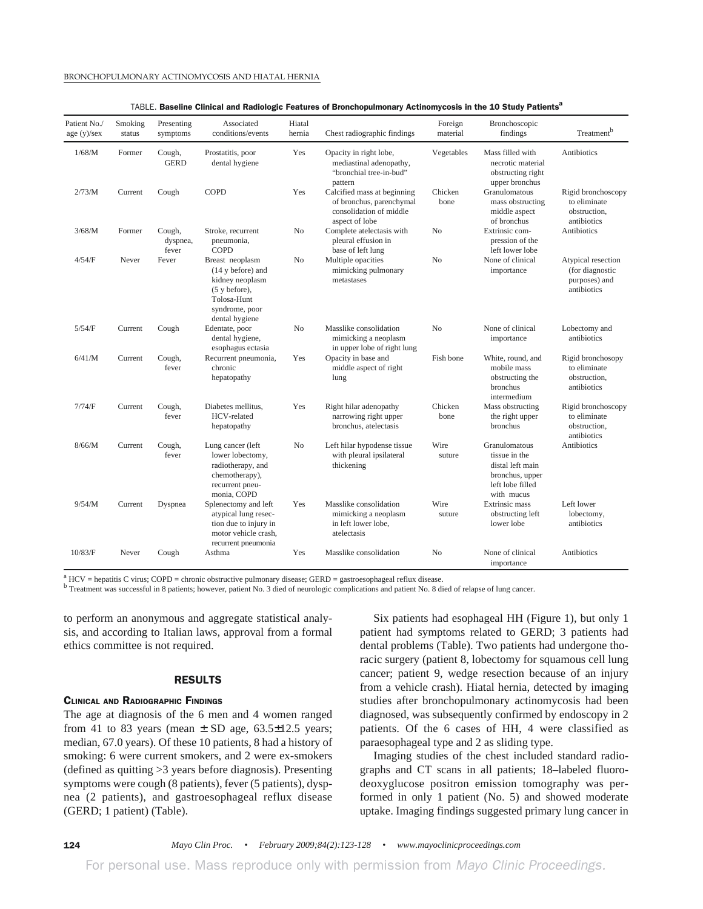| Patient No./<br>age(y)/sex | Smoking<br>status | Presenting<br>symptoms      | Associated<br>conditions/events                                                                                                       | Hiatal<br>hernia | Chest radiographic findings                                                                          | Foreign<br>material | Bronchoscopic<br>findings                                                                               | Treatment <sup>b</sup>                                                |
|----------------------------|-------------------|-----------------------------|---------------------------------------------------------------------------------------------------------------------------------------|------------------|------------------------------------------------------------------------------------------------------|---------------------|---------------------------------------------------------------------------------------------------------|-----------------------------------------------------------------------|
| 1/68/M                     | Former            | Cough,<br><b>GERD</b>       | Prostatitis, poor<br>dental hygiene                                                                                                   | Yes              | Opacity in right lobe,<br>mediastinal adenopathy,<br>"bronchial tree-in-bud"<br>pattern              | Vegetables          | Mass filled with<br>necrotic material<br>obstructing right<br>upper bronchus                            | <b>Antibiotics</b>                                                    |
| 2/73/M                     | Current           | Cough                       | <b>COPD</b>                                                                                                                           | Yes              | Calcified mass at beginning<br>of bronchus, parenchymal<br>consolidation of middle<br>aspect of lobe | Chicken<br>bone     | Granulomatous<br>mass obstructing<br>middle aspect<br>of bronchus                                       | Rigid bronchoscopy<br>to eliminate<br>obstruction.<br>antibiotics     |
| 3/68/M                     | Former            | Cough,<br>dyspnea,<br>fever | Stroke, recurrent<br>pneumonia,<br>COPD                                                                                               | N <sub>o</sub>   | Complete atelectasis with<br>pleural effusion in<br>base of left lung                                | N <sub>o</sub>      | Extrinsic com-<br>pression of the<br>left lower lobe                                                    | Antibiotics                                                           |
| 4/54/F                     | Never             | Fever                       | Breast neoplasm<br>(14 y before) and<br>kidney neoplasm<br>$(5 \text{ y before}),$<br>Tolosa-Hunt<br>syndrome, poor<br>dental hygiene | No               | Multiple opacities<br>mimicking pulmonary<br>metastases                                              | No                  | None of clinical<br>importance                                                                          | Atypical resection<br>(for diagnostic<br>purposes) and<br>antibiotics |
| 5/54/F                     | Current           | Cough                       | Edentate, poor<br>dental hygiene,<br>esophagus ectasia                                                                                | No               | Masslike consolidation<br>mimicking a neoplasm<br>in upper lobe of right lung                        | N <sub>o</sub>      | None of clinical<br>importance                                                                          | Lobectomy and<br>antibiotics                                          |
| 6/41/M                     | Current           | Cough,<br>fever             | Recurrent pneumonia,<br>chronic<br>hepatopathy                                                                                        | Yes              | Opacity in base and<br>middle aspect of right<br>lung                                                | Fish bone           | White, round, and<br>mobile mass<br>obstructing the<br>bronchus<br>intermedium                          | Rigid bronchosopy<br>to eliminate<br>obstruction,<br>antibiotics      |
| 7/74/F                     | Current           | Cough,<br>fever             | Diabetes mellitus,<br>HCV-related<br>hepatopathy                                                                                      | Yes              | Right hilar adenopathy<br>narrowing right upper<br>bronchus, atelectasis                             | Chicken<br>bone     | Mass obstructing<br>the right upper<br>bronchus                                                         | Rigid bronchoscopy<br>to eliminate<br>obstruction,<br>antibiotics     |
| 8/66/M                     | Current           | Cough,<br>fever             | Lung cancer (left<br>lower lobectomy,<br>radiotherapy, and<br>chemotherapy),<br>recurrent pneu-<br>monia, COPD                        | N <sub>o</sub>   | Left hilar hypodense tissue<br>with pleural ipsilateral<br>thickening                                | Wire<br>suture      | Granulomatous<br>tissue in the<br>distal left main<br>bronchus, upper<br>left lobe filled<br>with mucus | Antibiotics                                                           |
| 9/54/M                     | Current           | Dyspnea                     | Splenectomy and left<br>atypical lung resec-<br>tion due to injury in<br>motor vehicle crash,<br>recurrent pneumonia                  | Yes              | Masslike consolidation<br>mimicking a neoplasm<br>in left lower lobe.<br>atelectasis                 | Wire<br>suture      | <b>Extrinsic mass</b><br>obstructing left<br>lower lobe                                                 | Left lower<br>lobectomy,<br>antibiotics                               |
| 10/83/F                    | Never             | Cough                       | Asthma                                                                                                                                | Yes              | Masslike consolidation                                                                               | N <sub>o</sub>      | None of clinical<br>importance                                                                          | Antibiotics                                                           |

 $A<sup>a</sup>$  HCV = hepatitis C virus; COPD = chronic obstructive pulmonary disease; GERD = gastroesophageal reflux disease.

<sup>b</sup> Treatment was successful in 8 patients; however, patient No. 3 died of neurologic complications and patient No. 8 died of relapse of lung cancer.

to perform an anonymous and aggregate statistical analysis, and according to Italian laws, approval from a formal ethics committee is not required.

### RESULTS

## CLINICAL AND RADIOGRAPHIC FINDINGS

The age at diagnosis of the 6 men and 4 women ranged from 41 to 83 years (mean  $\pm$  SD age, 63.5 $\pm$ 12.5 years; median, 67.0 years). Of these 10 patients, 8 had a history of smoking: 6 were current smokers, and 2 were ex-smokers (defined as quitting >3 years before diagnosis). Presenting symptoms were cough (8 patients), fever (5 patients), dyspnea (2 patients), and gastroesophageal reflux disease (GERD; 1 patient) (Table).

Six patients had esophageal HH (Figure 1), but only 1 patient had symptoms related to GERD; 3 patients had dental problems (Table). Two patients had undergone thoracic surgery (patient 8, lobectomy for squamous cell lung cancer; patient 9, wedge resection because of an injury from a vehicle crash). Hiatal hernia, detected by imaging studies after bronchopulmonary actinomycosis had been diagnosed, was subsequently confirmed by endoscopy in 2 patients. Of the 6 cases of HH, 4 were classified as paraesophageal type and 2 as sliding type.

Imaging studies of the chest included standard radiographs and CT scans in all patients; 18–labeled fluorodeoxyglucose positron emission tomography was performed in only 1 patient (No. 5) and showed moderate uptake. Imaging findings suggested primary lung cancer in

For personal use. Mass reproduce only with permission from *Mayo Clinic Proceedings.*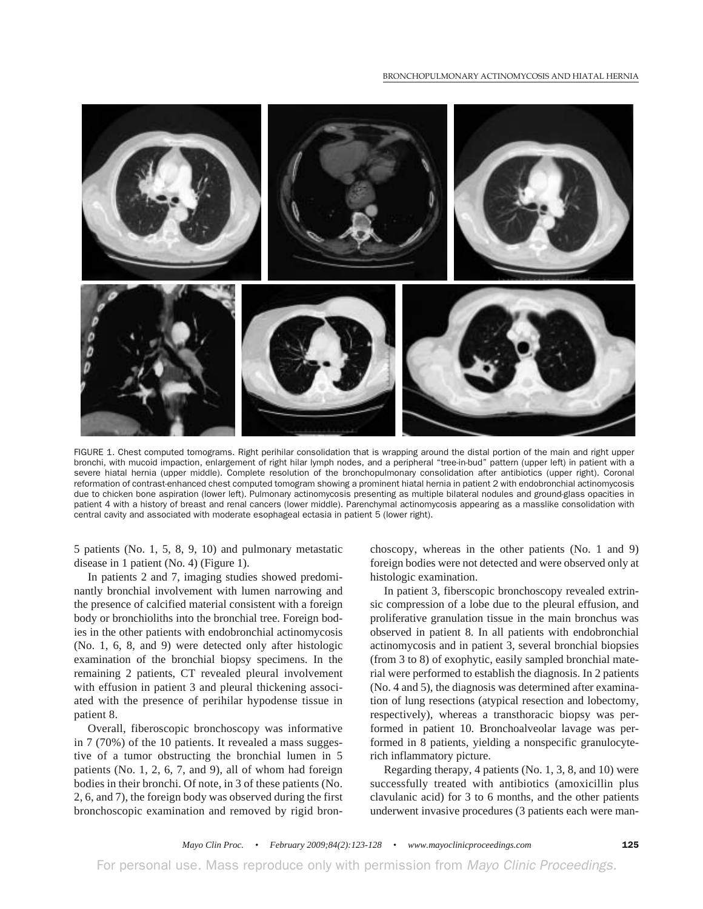#### BRONCHOPULMONARY ACTINOMYCOSIS AND HIATAL HERNIA



FIGURE 1. Chest computed tomograms. Right perihilar consolidation that is wrapping around the distal portion of the main and right upper bronchi, with mucoid impaction, enlargement of right hilar lymph nodes, and a peripheral "tree-in-bud" pattern (upper left) in patient with a severe hiatal hernia (upper middle). Complete resolution of the bronchopulmonary consolidation after antibiotics (upper right). Coronal reformation of contrast-enhanced chest computed tomogram showing a prominent hiatal hernia in patient 2 with endobronchial actinomycosis due to chicken bone aspiration (lower left). Pulmonary actinomycosis presenting as multiple bilateral nodules and ground-glass opacities in patient 4 with a history of breast and renal cancers (lower middle). Parenchymal actinomycosis appearing as a masslike consolidation with central cavity and associated with moderate esophageal ectasia in patient 5 (lower right).

5 patients (No. 1, 5, 8, 9, 10) and pulmonary metastatic disease in 1 patient (No. 4) (Figure 1).

In patients 2 and 7, imaging studies showed predominantly bronchial involvement with lumen narrowing and the presence of calcified material consistent with a foreign body or bronchioliths into the bronchial tree. Foreign bodies in the other patients with endobronchial actinomycosis (No. 1, 6, 8, and 9) were detected only after histologic examination of the bronchial biopsy specimens. In the remaining 2 patients, CT revealed pleural involvement with effusion in patient 3 and pleural thickening associated with the presence of perihilar hypodense tissue in patient 8.

Overall, fiberoscopic bronchoscopy was informative in 7 (70%) of the 10 patients. It revealed a mass suggestive of a tumor obstructing the bronchial lumen in 5 patients (No. 1, 2, 6, 7, and 9), all of whom had foreign bodies in their bronchi. Of note, in 3 of these patients (No. 2, 6, and 7), the foreign body was observed during the first bronchoscopic examination and removed by rigid bron-

choscopy, whereas in the other patients (No. 1 and 9) foreign bodies were not detected and were observed only at histologic examination.

In patient 3, fiberscopic bronchoscopy revealed extrinsic compression of a lobe due to the pleural effusion, and proliferative granulation tissue in the main bronchus was observed in patient 8. In all patients with endobronchial actinomycosis and in patient 3, several bronchial biopsies (from 3 to 8) of exophytic, easily sampled bronchial material were performed to establish the diagnosis. In 2 patients (No. 4 and 5), the diagnosis was determined after examination of lung resections (atypical resection and lobectomy, respectively), whereas a transthoracic biopsy was performed in patient 10. Bronchoalveolar lavage was performed in 8 patients, yielding a nonspecific granulocyterich inflammatory picture.

Regarding therapy, 4 patients (No. 1, 3, 8, and 10) were successfully treated with antibiotics (amoxicillin plus clavulanic acid) for 3 to 6 months, and the other patients underwent invasive procedures (3 patients each were man-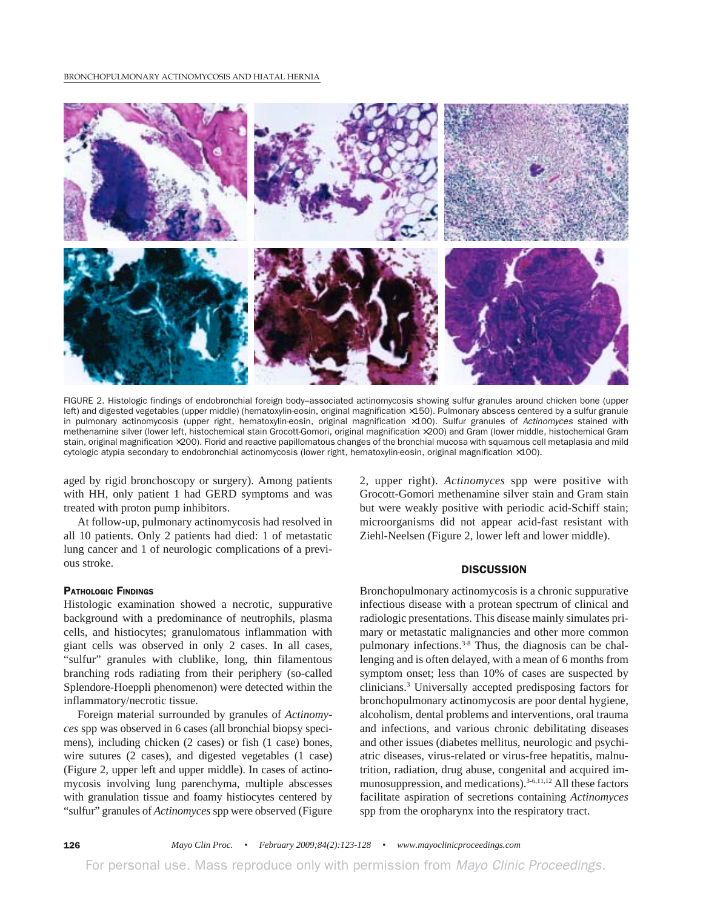

FIGURE 2. Histologic findings of endobronchial foreign body–associated actinomycosis showing sulfur granules around chicken bone (upper left) and digested vegetables (upper middle) (hematoxylin-eosin, original magnification ×150). Pulmonary abscess centered by a sulfur granule in pulmonary actinomycosis (upper right, hematoxylin-eosin, original magnification ×100). Sulfur granules of Actinomyces stained with methenamine silver (lower left, histochemical stain Grocott-Gomori, original magnification ×200) and Gram (lower middle, histochemical Gram stain, original magnification ×200). Florid and reactive papillomatous changes of the bronchial mucosa with squamous cell metaplasia and mild cytologic atypia secondary to endobronchial actinomycosis (lower right, hematoxylin-eosin, original magnification ×100).

aged by rigid bronchoscopy or surgery). Among patients with HH, only patient 1 had GERD symptoms and was treated with proton pump inhibitors.

At follow-up, pulmonary actinomycosis had resolved in all 10 patients. Only 2 patients had died: 1 of metastatic lung cancer and 1 of neurologic complications of a previous stroke.

### PATHOLOGIC FINDINGS

Histologic examination showed a necrotic, suppurative background with a predominance of neutrophils, plasma cells, and histiocytes; granulomatous inflammation with giant cells was observed in only 2 cases. In all cases, "sulfur" granules with clublike, long, thin filamentous branching rods radiating from their periphery (so-called Splendore-Hoeppli phenomenon) were detected within the inflammatory/necrotic tissue.

Foreign material surrounded by granules of *Actinomyces* spp was observed in 6 cases (all bronchial biopsy specimens), including chicken (2 cases) or fish (1 case) bones, wire sutures (2 cases), and digested vegetables (1 case) (Figure 2, upper left and upper middle). In cases of actinomycosis involving lung parenchyma, multiple abscesses with granulation tissue and foamy histiocytes centered by "sulfur" granules of *Actinomyces*spp were observed (Figure

2, upper right). *Actinomyces* spp were positive with Grocott-Gomori methenamine silver stain and Gram stain but were weakly positive with periodic acid-Schiff stain; microorganisms did not appear acid-fast resistant with Ziehl-Neelsen (Figure 2, lower left and lower middle).

## **DISCUSSION**

Bronchopulmonary actinomycosis is a chronic suppurative infectious disease with a protean spectrum of clinical and radiologic presentations. This disease mainly simulates primary or metastatic malignancies and other more common pulmonary infections.<sup>3-8</sup> Thus, the diagnosis can be challenging and is often delayed, with a mean of 6 months from symptom onset; less than 10% of cases are suspected by clinicians.3 Universally accepted predisposing factors for bronchopulmonary actinomycosis are poor dental hygiene, alcoholism, dental problems and interventions, oral trauma and infections, and various chronic debilitating diseases and other issues (diabetes mellitus, neurologic and psychiatric diseases, virus-related or virus-free hepatitis, malnutrition, radiation, drug abuse, congenital and acquired immunosuppression, and medications).<sup>3-6,11,12</sup> All these factors facilitate aspiration of secretions containing *Actinomyces* spp from the oropharynx into the respiratory tract.

126 *Mayo Clin Proc. • February 2009;84(2):123-128 • www.mayoclinicproceedings.com*

For personal use. Mass reproduce only with permission from *Mayo Clinic Proceedings.*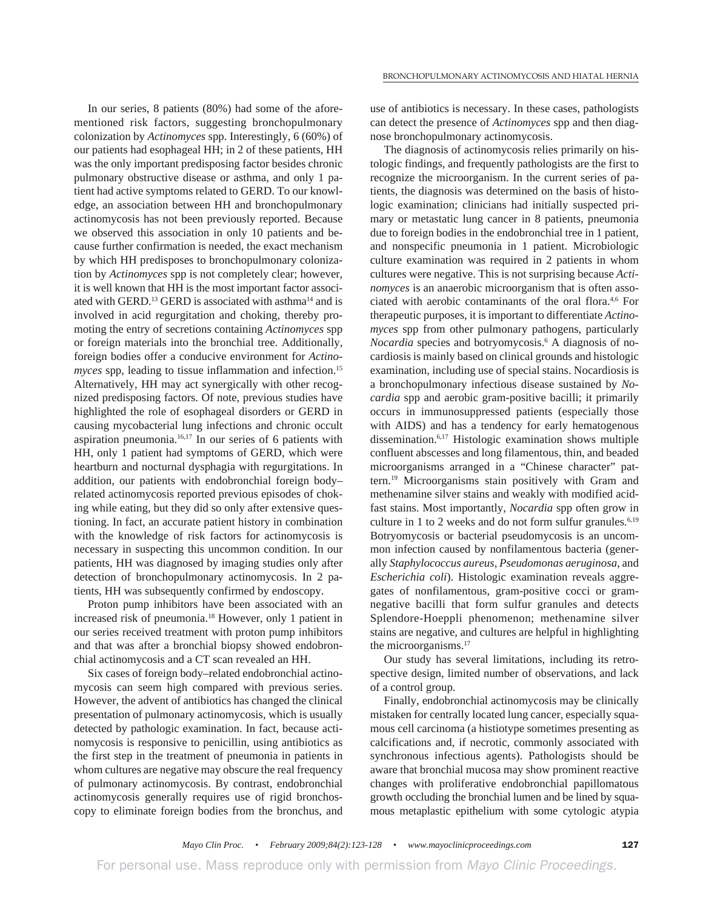In our series, 8 patients (80%) had some of the aforementioned risk factors, suggesting bronchopulmonary colonization by *Actinomyces* spp. Interestingly, 6 (60%) of our patients had esophageal HH; in 2 of these patients, HH was the only important predisposing factor besides chronic pulmonary obstructive disease or asthma, and only 1 patient had active symptoms related to GERD. To our knowledge, an association between HH and bronchopulmonary actinomycosis has not been previously reported. Because we observed this association in only 10 patients and because further confirmation is needed, the exact mechanism by which HH predisposes to bronchopulmonary colonization by *Actinomyces* spp is not completely clear; however, it is well known that HH is the most important factor associated with GERD.<sup>13</sup> GERD is associated with asthma<sup>14</sup> and is involved in acid regurgitation and choking, thereby promoting the entry of secretions containing *Actinomyces* spp or foreign materials into the bronchial tree. Additionally, foreign bodies offer a conducive environment for *Actinomyces* spp, leading to tissue inflammation and infection.<sup>15</sup> Alternatively, HH may act synergically with other recognized predisposing factors. Of note, previous studies have highlighted the role of esophageal disorders or GERD in causing mycobacterial lung infections and chronic occult aspiration pneumonia. $16,17$  In our series of 6 patients with HH, only 1 patient had symptoms of GERD, which were heartburn and nocturnal dysphagia with regurgitations. In addition, our patients with endobronchial foreign body– related actinomycosis reported previous episodes of choking while eating, but they did so only after extensive questioning. In fact, an accurate patient history in combination with the knowledge of risk factors for actinomycosis is necessary in suspecting this uncommon condition. In our patients, HH was diagnosed by imaging studies only after detection of bronchopulmonary actinomycosis. In 2 patients, HH was subsequently confirmed by endoscopy.

Proton pump inhibitors have been associated with an increased risk of pneumonia.18 However, only 1 patient in our series received treatment with proton pump inhibitors and that was after a bronchial biopsy showed endobronchial actinomycosis and a CT scan revealed an HH.

Six cases of foreign body–related endobronchial actinomycosis can seem high compared with previous series. However, the advent of antibiotics has changed the clinical presentation of pulmonary actinomycosis, which is usually detected by pathologic examination. In fact, because actinomycosis is responsive to penicillin, using antibiotics as the first step in the treatment of pneumonia in patients in whom cultures are negative may obscure the real frequency of pulmonary actinomycosis. By contrast, endobronchial actinomycosis generally requires use of rigid bronchoscopy to eliminate foreign bodies from the bronchus, and

use of antibiotics is necessary. In these cases, pathologists can detect the presence of *Actinomyces* spp and then diagnose bronchopulmonary actinomycosis.

The diagnosis of actinomycosis relies primarily on histologic findings, and frequently pathologists are the first to recognize the microorganism. In the current series of patients, the diagnosis was determined on the basis of histologic examination; clinicians had initially suspected primary or metastatic lung cancer in 8 patients, pneumonia due to foreign bodies in the endobronchial tree in 1 patient, and nonspecific pneumonia in 1 patient. Microbiologic culture examination was required in 2 patients in whom cultures were negative. This is not surprising because *Actinomyces* is an anaerobic microorganism that is often associated with aerobic contaminants of the oral flora.<sup>4,6</sup> For therapeutic purposes, it is important to differentiate *Actinomyces* spp from other pulmonary pathogens, particularly *Nocardia* species and botryomycosis.<sup>6</sup> A diagnosis of nocardiosis is mainly based on clinical grounds and histologic examination, including use of special stains. Nocardiosis is a bronchopulmonary infectious disease sustained by *Nocardia* spp and aerobic gram-positive bacilli; it primarily occurs in immunosuppressed patients (especially those with AIDS) and has a tendency for early hematogenous dissemination.6,17 Histologic examination shows multiple confluent abscesses and long filamentous, thin, and beaded microorganisms arranged in a "Chinese character" pattern.19 Microorganisms stain positively with Gram and methenamine silver stains and weakly with modified acidfast stains. Most importantly, *Nocardia* spp often grow in culture in 1 to 2 weeks and do not form sulfur granules. $6,19$ Botryomycosis or bacterial pseudomycosis is an uncommon infection caused by nonfilamentous bacteria (generally *Staphylococcus aureus*, *Pseudomonas aeruginosa*, and *Escherichia coli*). Histologic examination reveals aggregates of nonfilamentous, gram-positive cocci or gramnegative bacilli that form sulfur granules and detects Splendore-Hoeppli phenomenon; methenamine silver stains are negative, and cultures are helpful in highlighting the microorganisms.<sup>17</sup>

Our study has several limitations, including its retrospective design, limited number of observations, and lack of a control group.

Finally, endobronchial actinomycosis may be clinically mistaken for centrally located lung cancer, especially squamous cell carcinoma (a histiotype sometimes presenting as calcifications and, if necrotic, commonly associated with synchronous infectious agents). Pathologists should be aware that bronchial mucosa may show prominent reactive changes with proliferative endobronchial papillomatous growth occluding the bronchial lumen and be lined by squamous metaplastic epithelium with some cytologic atypia